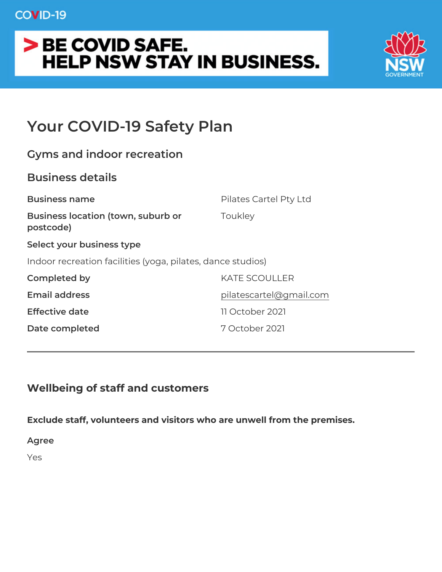## COVID-19

# > BE COVID SAFE. **HELP NSW STAY IN BUSINESS.**



# **Your COVID-19 Safety Plan**

| <b>Gyms and indoor recreation</b>                           |                         |
|-------------------------------------------------------------|-------------------------|
| <b>Business details</b>                                     |                         |
| <b>Business name</b>                                        | Pilates Cartel Pty Ltd  |
| <b>Business location (town, suburb or</b><br>postcode)      | Toukley                 |
| Select your business type                                   |                         |
| Indoor recreation facilities (yoga, pilates, dance studios) |                         |
| <b>Completed by</b>                                         | <b>KATE SCOULLER</b>    |
| <b>Email address</b>                                        | pilatescartel@gmail.com |
| <b>Effective date</b>                                       | 11 October 2021         |
| Date completed                                              | 7 October 2021          |
|                                                             |                         |

## **Wellbeing of staff and customers**

**Exclude staff, volunteers and visitors who are unwell from the premises.**

**Agree**

Yes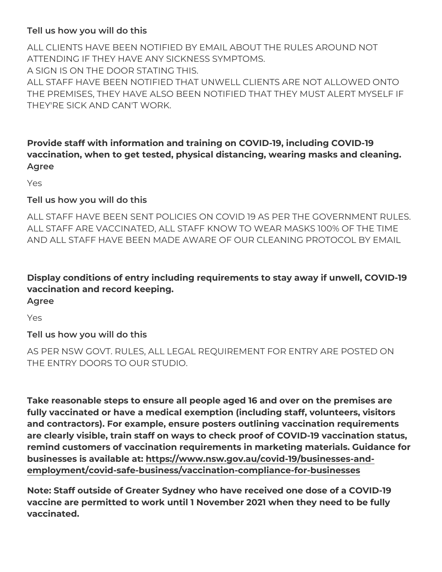#### **Tell us how you will do this**

ALL CLIENTS HAVE BEEN NOTIFIED BY EMAIL ABOUT THE RULES AROUND NOT ATTENDING IF THEY HAVE ANY SICKNESS SYMPTOMS. A SIGN IS ON THE DOOR STATING THIS.

ALL STAFF HAVE BEEN NOTIFIED THAT UNWELL CLIENTS ARE NOT ALLOWED ONTO THE PREMISES, THEY HAVE ALSO BEEN NOTIFIED THAT THEY MUST ALERT MYSELF IF THEY'RE SICK AND CAN'T WORK.

## **Provide staff with information and training on COVID-19, including COVID-19 vaccination, when to get tested, physical distancing, wearing masks and cleaning. Agree**

Yes

#### **Tell us how you will do this**

ALL STAFF HAVE BEEN SENT POLICIES ON COVID 19 AS PER THE GOVERNMENT RULES. ALL STAFF ARE VACCINATED, ALL STAFF KNOW TO WEAR MASKS 100% OF THE TIME AND ALL STAFF HAVE BEEN MADE AWARE OF OUR CLEANING PROTOCOL BY EMAIL

## **Display conditions of entry including requirements to stay away if unwell, COVID-19 vaccination and record keeping.**

**Agree**

Yes

## **Tell us how you will do this**

AS PER NSW GOVT. RULES, ALL LEGAL REQUIREMENT FOR ENTRY ARE POSTED ON THE ENTRY DOORS TO OUR STUDIO.

**Take reasonable steps to ensure all people aged 16 and over on the premises are fully vaccinated or have a medical exemption (including staff, volunteers, visitors and contractors). For example, ensure posters outlining vaccination requirements are clearly visible, train staff on ways to check proof of COVID-19 vaccination status, remind customers of vaccination requirements in marketing materials. Guidance for businesses is available at: [https://www.nsw.gov.au/covid-19/businesses-and](https://www.nsw.gov.au/covid-19/businesses-and-employment/covid-safe-business/vaccination-compliance-for-businesses)[employment/covid-safe-business/vaccination-compliance-for-businesses](https://www.nsw.gov.au/covid-19/businesses-and-employment/covid-safe-business/vaccination-compliance-for-businesses)**

**Note: Staff outside of Greater Sydney who have received one dose of a COVID-19 vaccine are permitted to work until 1 November 2021 when they need to be fully vaccinated.**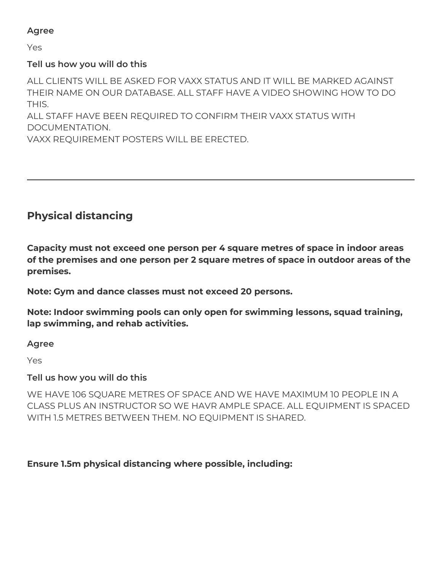#### **Agree**

Yes

#### **Tell us how you will do this**

ALL CLIENTS WILL BE ASKED FOR VAXX STATUS AND IT WILL BE MARKED AGAINST THEIR NAME ON OUR DATABASE. ALL STAFF HAVE A VIDEO SHOWING HOW TO DO THIS.

ALL STAFF HAVE BEEN REQUIRED TO CONFIRM THEIR VAXX STATUS WITH DOCUMENTATION.

VAXX REQUIREMENT POSTERS WILL BE ERECTED.

## **Physical distancing**

**Capacity must not exceed one person per 4 square metres of space in indoor areas of the premises and one person per 2 square metres of space in outdoor areas of the premises.**

**Note: Gym and dance classes must not exceed 20 persons.**

**Note: Indoor swimming pools can only open for swimming lessons, squad training, lap swimming, and rehab activities.**

**Agree**

Yes

**Tell us how you will do this**

WE HAVE 106 SQUARE METRES OF SPACE AND WE HAVE MAXIMUM 10 PEOPLE IN A CLASS PLUS AN INSTRUCTOR SO WE HAVR AMPLE SPACE. ALL EQUIPMENT IS SPACED WITH 1.5 METRES BETWEEN THEM. NO EQUIPMENT IS SHARED.

#### **Ensure 1.5m physical distancing where possible, including:**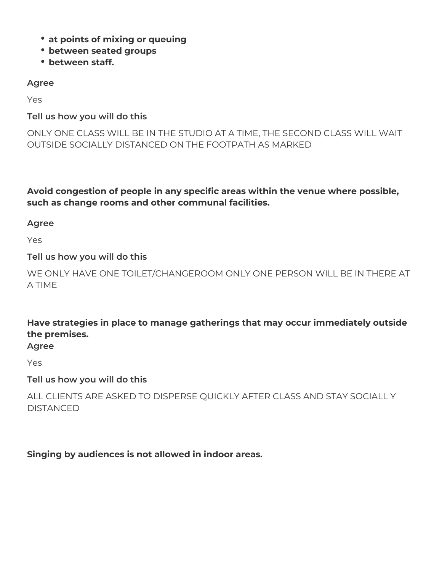- **at points of mixing or queuing**
- **between seated groups**
- **between staff.**

#### **Agree**

Yes

#### **Tell us how you will do this**

ONLY ONE CLASS WILL BE IN THE STUDIO AT A TIME, THE SECOND CLASS WILL WAIT OUTSIDE SOCIALLY DISTANCED ON THE FOOTPATH AS MARKED

**Avoid congestion of people in any specific areas within the venue where possible, such as change rooms and other communal facilities.**

**Agree**

Yes

#### **Tell us how you will do this**

WE ONLY HAVE ONE TOILET/CHANGEROOM ONLY ONE PERSON WILL BE IN THERE AT A TIME

**Have strategies in place to manage gatherings that may occur immediately outside the premises.**

**Agree**

Yes

**Tell us how you will do this**

ALL CLIENTS ARE ASKED TO DISPERSE QUICKLY AFTER CLASS AND STAY SOCIALL Y **DISTANCED** 

**Singing by audiences is not allowed in indoor areas.**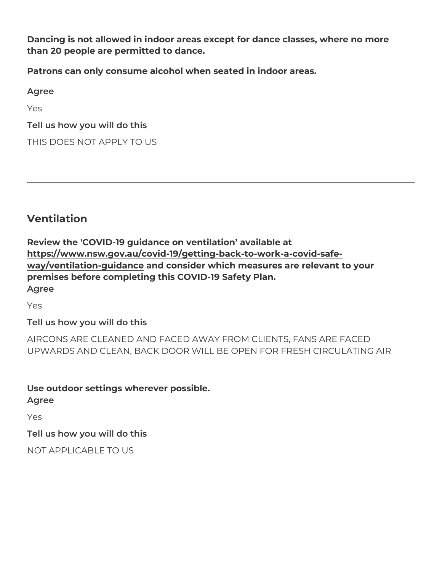**Dancing is not allowed in indoor areas except for dance classes, where no more than 20 people are permitted to dance.**

**Patrons can only consume alcohol when seated in indoor areas.**

**Agree**

Yes

**Tell us how you will do this**

THIS DOES NOT APPLY TO US

**Ventilation**

**Review the 'COVID-19 guidance on ventilation' available at [https://www.nsw.gov.au/covid-19/getting-back-to-work-a-covid-safe](https://www.nsw.gov.au/covid-19/getting-back-to-work-a-covid-safe-way/ventilation-guidance)[way/ventilation-guidance](https://www.nsw.gov.au/covid-19/getting-back-to-work-a-covid-safe-way/ventilation-guidance) and consider which measures are relevant to your premises before completing this COVID-19 Safety Plan. Agree**

Yes

**Tell us how you will do this**

AIRCONS ARE CLEANED AND FACED AWAY FROM CLIENTS, FANS ARE FACED UPWARDS AND CLEAN, BACK DOOR WILL BE OPEN FOR FRESH CIRCULATING AIR

**Use outdoor settings wherever possible. Agree**

Yes

**Tell us how you will do this**

NOT APPLICABLE TO US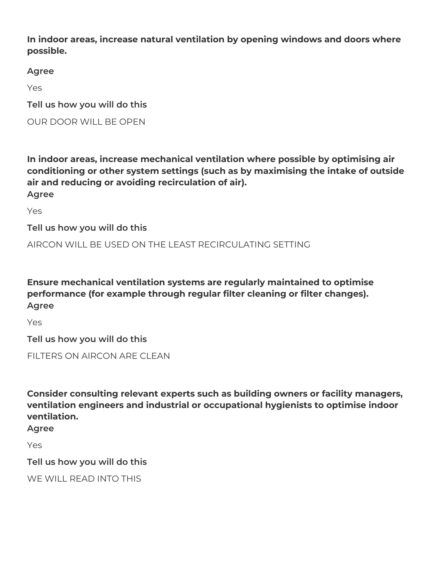**In indoor areas, increase natural ventilation by opening windows and doors where possible.**

**Agree**

Yes

**Tell us how you will do this**

OUR DOOR WILL BE OPEN

**In indoor areas, increase mechanical ventilation where possible by optimising air conditioning or other system settings (such as by maximising the intake of outside air and reducing or avoiding recirculation of air). Agree**

Yes

**Tell us how you will do this**

AIRCON WILL BE USED ON THE LEAST RECIRCULATING SETTING

**Ensure mechanical ventilation systems are regularly maintained to optimise performance (for example through regular filter cleaning or filter changes). Agree**

Yes

**Tell us how you will do this**

FILTERS ON AIRCON ARE CLEAN

**Consider consulting relevant experts such as building owners or facility managers, ventilation engineers and industrial or occupational hygienists to optimise indoor ventilation.**

**Agree**

Yes

**Tell us how you will do this**

WE WILL READ INTO THIS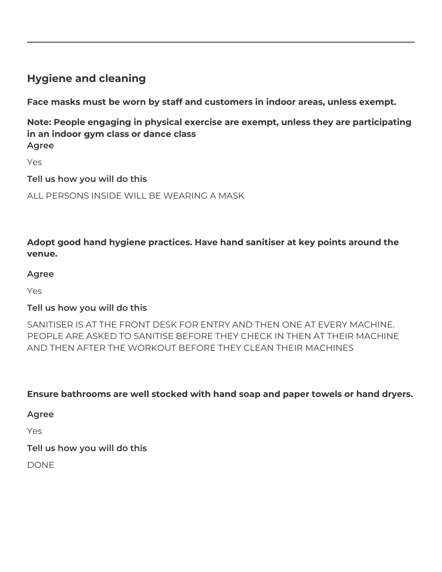## **Hygiene and cleaning**

**Face masks must be worn by staff and customers in indoor areas, unless exempt.** 

**Note: People engaging in physical exercise are exempt, unless they are participating in an indoor gym class or dance class Agree**

Yes

**Tell us how you will do this**

ALL PERSONS INSIDE WILL BE WEARING A MASK

**Adopt good hand hygiene practices. Have hand sanitiser at key points around the venue.**

#### **Agree**

Yes

#### **Tell us how you will do this**

SANITISER IS AT THE FRONT DESK FOR ENTRY AND THEN ONE AT EVERY MACHINE. PEOPLE ARE ASKED TO SANITISE BEFORE THEY CHECK IN THEN AT THEIR MACHINE AND THEN AFTER THE WORKOUT BEFORE THEY CLEAN THEIR MACHINES

**Ensure bathrooms are well stocked with hand soap and paper towels or hand dryers.**

**Agree**

Yes

**Tell us how you will do this**

DONE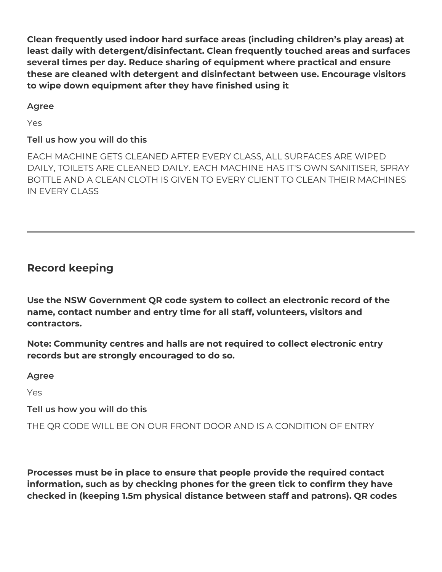**Clean frequently used indoor hard surface areas (including children's play areas) at least daily with detergent/disinfectant. Clean frequently touched areas and surfaces several times per day. Reduce sharing of equipment where practical and ensure these are cleaned with detergent and disinfectant between use. Encourage visitors to wipe down equipment after they have finished using it**

**Agree**

Yes

## **Tell us how you will do this**

EACH MACHINE GETS CLEANED AFTER EVERY CLASS, ALL SURFACES ARE WIPED DAILY, TOILETS ARE CLEANED DAILY. EACH MACHINE HAS IT'S OWN SANITISER, SPRAY BOTTLE AND A CLEAN CLOTH IS GIVEN TO EVERY CLIENT TO CLEAN THEIR MACHINES IN EVERY CLASS

## **Record keeping**

**Use the NSW Government QR code system to collect an electronic record of the name, contact number and entry time for all staff, volunteers, visitors and contractors.**

**Note: Community centres and halls are not required to collect electronic entry records but are strongly encouraged to do so.**

**Agree**

Yes

**Tell us how you will do this**

THE QR CODE WILL BE ON OUR FRONT DOOR AND IS A CONDITION OF ENTRY

**Processes must be in place to ensure that people provide the required contact information, such as by checking phones for the green tick to confirm they have checked in (keeping 1.5m physical distance between staff and patrons). QR codes**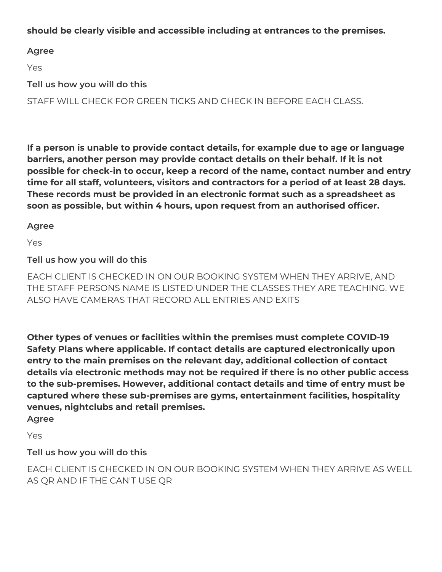#### **should be clearly visible and accessible including at entrances to the premises.**

#### **Agree**

Yes

**Tell us how you will do this**

STAFF WILL CHECK FOR GREEN TICKS AND CHECK IN BEFORE EACH CLASS.

**If a person is unable to provide contact details, for example due to age or language barriers, another person may provide contact details on their behalf. If it is not possible for check-in to occur, keep a record of the name, contact number and entry time for all staff, volunteers, visitors and contractors for a period of at least 28 days. These records must be provided in an electronic format such as a spreadsheet as soon as possible, but within 4 hours, upon request from an authorised officer.** 

#### **Agree**

Yes

**Tell us how you will do this**

EACH CLIENT IS CHECKED IN ON OUR BOOKING SYSTEM WHEN THEY ARRIVE, AND THE STAFF PERSONS NAME IS LISTED UNDER THE CLASSES THEY ARE TEACHING. WE ALSO HAVE CAMERAS THAT RECORD ALL ENTRIES AND EXITS

**Other types of venues or facilities within the premises must complete COVID-19 Safety Plans where applicable. If contact details are captured electronically upon entry to the main premises on the relevant day, additional collection of contact details via electronic methods may not be required if there is no other public access to the sub-premises. However, additional contact details and time of entry must be captured where these sub-premises are gyms, entertainment facilities, hospitality venues, nightclubs and retail premises.**

**Agree**

Yes

**Tell us how you will do this**

EACH CLIENT IS CHECKED IN ON OUR BOOKING SYSTEM WHEN THEY ARRIVE AS WELL AS QR AND IF THE CAN'T USE QR